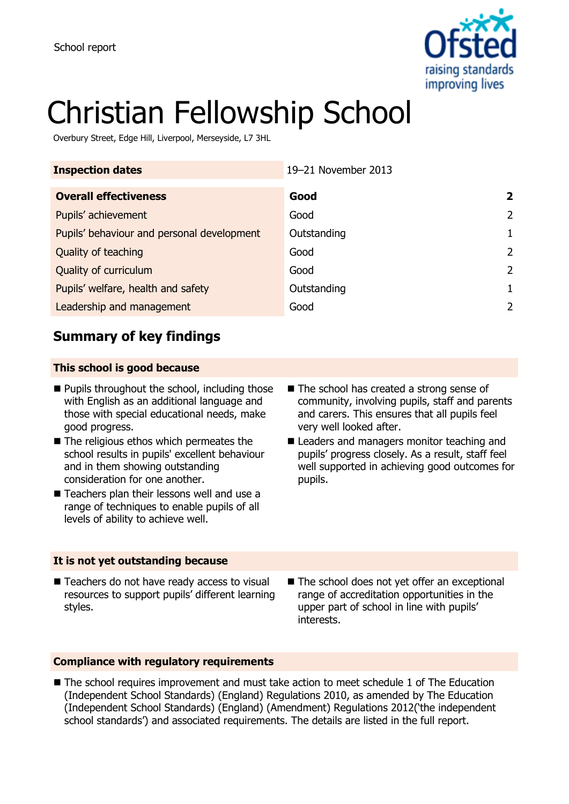

# Christian Fellowship School

Overbury Street, Edge Hill, Liverpool, Merseyside, L7 3HL

| <b>Inspection dates</b>                    | 19-21 November 2013 |                |
|--------------------------------------------|---------------------|----------------|
| <b>Overall effectiveness</b>               | Good                | $\overline{2}$ |
| Pupils' achievement                        | Good                | $\mathcal{L}$  |
| Pupils' behaviour and personal development | Outstanding         | 1              |
| Quality of teaching                        | Good                | $\mathcal{L}$  |
| Quality of curriculum                      | Good                | $\mathcal{L}$  |
| Pupils' welfare, health and safety         | Outstanding         | 1.             |
| Leadership and management                  | Good                | 2              |

# **Summary of key findings**

### **This school is good because**

- $\blacksquare$  Pupils throughout the school, including those with English as an additional language and those with special educational needs, make good progress.
- The religious ethos which permeates the school results in pupils' excellent behaviour and in them showing outstanding consideration for one another.
- Teachers plan their lessons well and use a range of techniques to enable pupils of all levels of ability to achieve well.
- The school has created a strong sense of community, involving pupils, staff and parents and carers. This ensures that all pupils feel very well looked after.
- Leaders and managers monitor teaching and pupils' progress closely. As a result, staff feel well supported in achieving good outcomes for pupils.

#### **It is not yet outstanding because**

- Teachers do not have ready access to visual resources to support pupils' different learning styles.
- The school does not yet offer an exceptional range of accreditation opportunities in the upper part of school in line with pupils' interests.

#### **Compliance with regulatory requirements**

■ The school requires improvement and must take action to meet schedule 1 of The Education (Independent School Standards) (England) Regulations 2010, as amended by The Education (Independent School Standards) (England) (Amendment) Regulations 2012('the independent school standards') and associated requirements. The details are listed in the full report.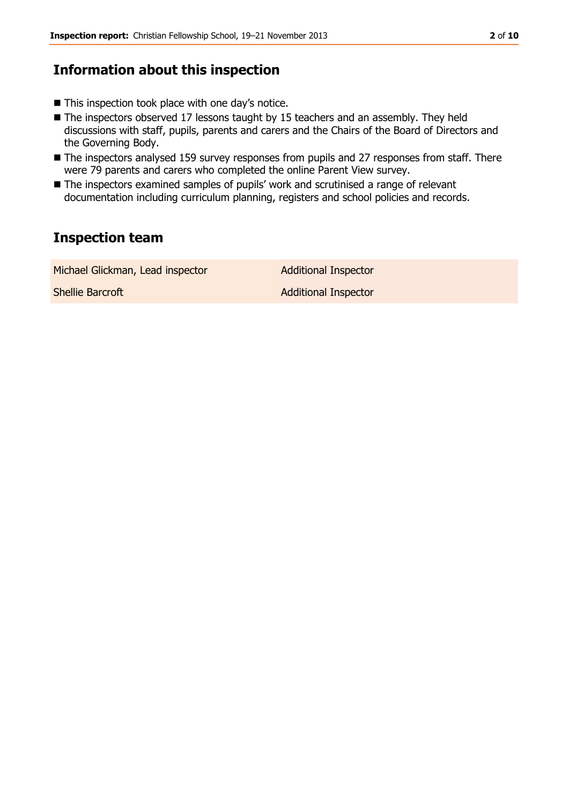# **Information about this inspection**

- This inspection took place with one day's notice.
- The inspectors observed 17 lessons taught by 15 teachers and an assembly. They held discussions with staff, pupils, parents and carers and the Chairs of the Board of Directors and the Governing Body.
- The inspectors analysed 159 survey responses from pupils and 27 responses from staff. There were 79 parents and carers who completed the online Parent View survey.
- The inspectors examined samples of pupils' work and scrutinised a range of relevant documentation including curriculum planning, registers and school policies and records.

# **Inspection team**

| Michael Glickman, Lead inspector | <b>Additional Inspector</b> |
|----------------------------------|-----------------------------|
| Shellie Barcroft                 | <b>Additional Inspector</b> |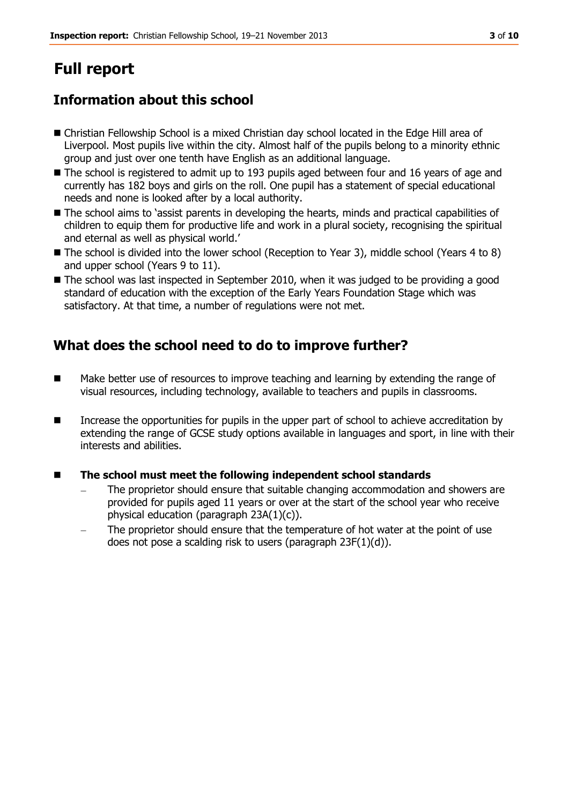# **Full report**

# **Information about this school**

- Christian Fellowship School is a mixed Christian day school located in the Edge Hill area of Liverpool. Most pupils live within the city. Almost half of the pupils belong to a minority ethnic group and just over one tenth have English as an additional language.
- The school is registered to admit up to 193 pupils aged between four and 16 years of age and currently has 182 boys and girls on the roll. One pupil has a statement of special educational needs and none is looked after by a local authority.
- The school aims to 'assist parents in developing the hearts, minds and practical capabilities of children to equip them for productive life and work in a plural society, recognising the spiritual and eternal as well as physical world.'
- The school is divided into the lower school (Reception to Year 3), middle school (Years 4 to 8) and upper school (Years 9 to 11).
- The school was last inspected in September 2010, when it was judged to be providing a good standard of education with the exception of the Early Years Foundation Stage which was satisfactory. At that time, a number of regulations were not met.

# **What does the school need to do to improve further?**

- **Make better use of resources to improve teaching and learning by extending the range of** visual resources, including technology, available to teachers and pupils in classrooms.
- **IDED** Increase the opportunities for pupils in the upper part of school to achieve accreditation by extending the range of GCSE study options available in languages and sport, in line with their interests and abilities.
- **The school must meet the following independent school standards**
	- The proprietor should ensure that suitable changing accommodation and showers are provided for pupils aged 11 years or over at the start of the school year who receive physical education (paragraph 23A(1)(c)).
	- The proprietor should ensure that the temperature of hot water at the point of use does not pose a scalding risk to users (paragraph 23F(1)(d)).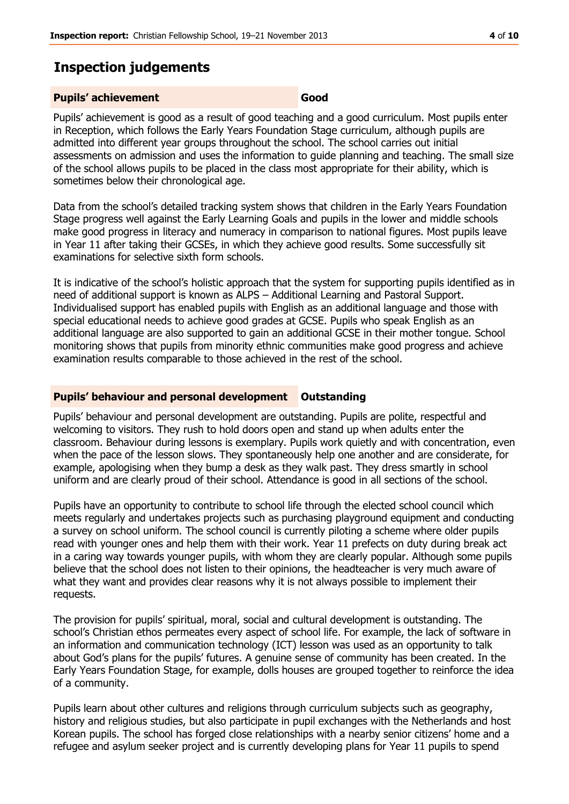# **Inspection judgements**

#### **Pupils' achievement Good**

Pupils' achievement is good as a result of good teaching and a good curriculum. Most pupils enter in Reception, which follows the Early Years Foundation Stage curriculum, although pupils are admitted into different year groups throughout the school. The school carries out initial assessments on admission and uses the information to guide planning and teaching. The small size of the school allows pupils to be placed in the class most appropriate for their ability, which is sometimes below their chronological age.

Data from the school's detailed tracking system shows that children in the Early Years Foundation Stage progress well against the Early Learning Goals and pupils in the lower and middle schools make good progress in literacy and numeracy in comparison to national figures. Most pupils leave in Year 11 after taking their GCSEs, in which they achieve good results. Some successfully sit examinations for selective sixth form schools.

It is indicative of the school's holistic approach that the system for supporting pupils identified as in need of additional support is known as ALPS – Additional Learning and Pastoral Support. Individualised support has enabled pupils with English as an additional language and those with special educational needs to achieve good grades at GCSE. Pupils who speak English as an additional language are also supported to gain an additional GCSE in their mother tongue. School monitoring shows that pupils from minority ethnic communities make good progress and achieve examination results comparable to those achieved in the rest of the school.

### **Pupils' behaviour and personal development Outstanding**

Pupils' behaviour and personal development are outstanding. Pupils are polite, respectful and welcoming to visitors. They rush to hold doors open and stand up when adults enter the classroom. Behaviour during lessons is exemplary. Pupils work quietly and with concentration, even when the pace of the lesson slows. They spontaneously help one another and are considerate, for example, apologising when they bump a desk as they walk past. They dress smartly in school uniform and are clearly proud of their school. Attendance is good in all sections of the school.

Pupils have an opportunity to contribute to school life through the elected school council which meets regularly and undertakes projects such as purchasing playground equipment and conducting a survey on school uniform. The school council is currently piloting a scheme where older pupils read with younger ones and help them with their work. Year 11 prefects on duty during break act in a caring way towards younger pupils, with whom they are clearly popular. Although some pupils believe that the school does not listen to their opinions, the headteacher is very much aware of what they want and provides clear reasons why it is not always possible to implement their requests.

The provision for pupils' spiritual, moral, social and cultural development is outstanding. The school's Christian ethos permeates every aspect of school life. For example, the lack of software in an information and communication technology (ICT) lesson was used as an opportunity to talk about God's plans for the pupils' futures. A genuine sense of community has been created. In the Early Years Foundation Stage, for example, dolls houses are grouped together to reinforce the idea of a community.

Pupils learn about other cultures and religions through curriculum subjects such as geography, history and religious studies, but also participate in pupil exchanges with the Netherlands and host Korean pupils. The school has forged close relationships with a nearby senior citizens' home and a refugee and asylum seeker project and is currently developing plans for Year 11 pupils to spend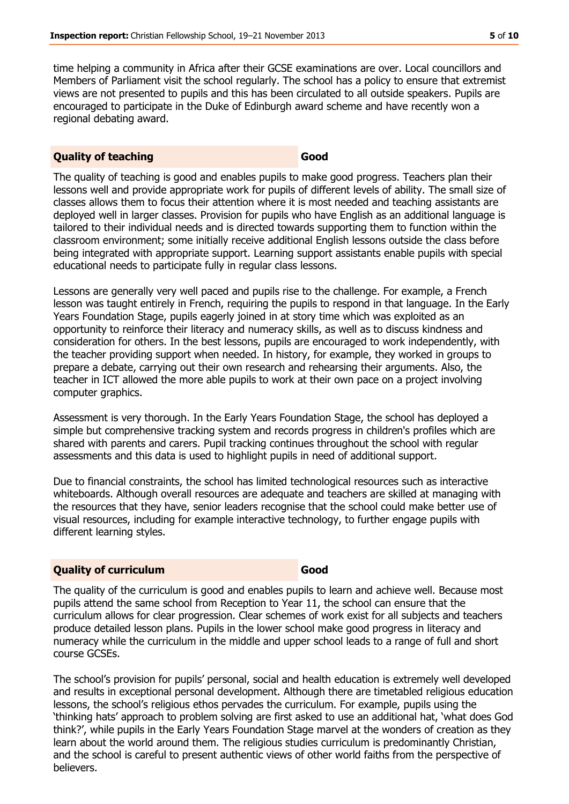time helping a community in Africa after their GCSE examinations are over. Local councillors and Members of Parliament visit the school regularly. The school has a policy to ensure that extremist views are not presented to pupils and this has been circulated to all outside speakers. Pupils are encouraged to participate in the Duke of Edinburgh award scheme and have recently won a regional debating award.

#### **Quality of teaching Good**

The quality of teaching is good and enables pupils to make good progress. Teachers plan their lessons well and provide appropriate work for pupils of different levels of ability. The small size of classes allows them to focus their attention where it is most needed and teaching assistants are deployed well in larger classes. Provision for pupils who have English as an additional language is tailored to their individual needs and is directed towards supporting them to function within the classroom environment; some initially receive additional English lessons outside the class before being integrated with appropriate support. Learning support assistants enable pupils with special educational needs to participate fully in regular class lessons.

Lessons are generally very well paced and pupils rise to the challenge. For example, a French lesson was taught entirely in French, requiring the pupils to respond in that language. In the Early Years Foundation Stage, pupils eagerly joined in at story time which was exploited as an opportunity to reinforce their literacy and numeracy skills, as well as to discuss kindness and consideration for others. In the best lessons, pupils are encouraged to work independently, with the teacher providing support when needed. In history, for example, they worked in groups to prepare a debate, carrying out their own research and rehearsing their arguments. Also, the teacher in ICT allowed the more able pupils to work at their own pace on a project involving computer graphics.

Assessment is very thorough. In the Early Years Foundation Stage, the school has deployed a simple but comprehensive tracking system and records progress in children's profiles which are shared with parents and carers. Pupil tracking continues throughout the school with regular assessments and this data is used to highlight pupils in need of additional support.

Due to financial constraints, the school has limited technological resources such as interactive whiteboards. Although overall resources are adequate and teachers are skilled at managing with the resources that they have, senior leaders recognise that the school could make better use of visual resources, including for example interactive technology, to further engage pupils with different learning styles.

#### **Quality of curriculum Good**

The quality of the curriculum is good and enables pupils to learn and achieve well. Because most pupils attend the same school from Reception to Year 11, the school can ensure that the curriculum allows for clear progression. Clear schemes of work exist for all subjects and teachers produce detailed lesson plans. Pupils in the lower school make good progress in literacy and numeracy while the curriculum in the middle and upper school leads to a range of full and short course GCSEs.

The school's provision for pupils' personal, social and health education is extremely well developed and results in exceptional personal development. Although there are timetabled religious education lessons, the school's religious ethos pervades the curriculum. For example, pupils using the 'thinking hats' approach to problem solving are first asked to use an additional hat, 'what does God think?', while pupils in the Early Years Foundation Stage marvel at the wonders of creation as they learn about the world around them. The religious studies curriculum is predominantly Christian, and the school is careful to present authentic views of other world faiths from the perspective of believers.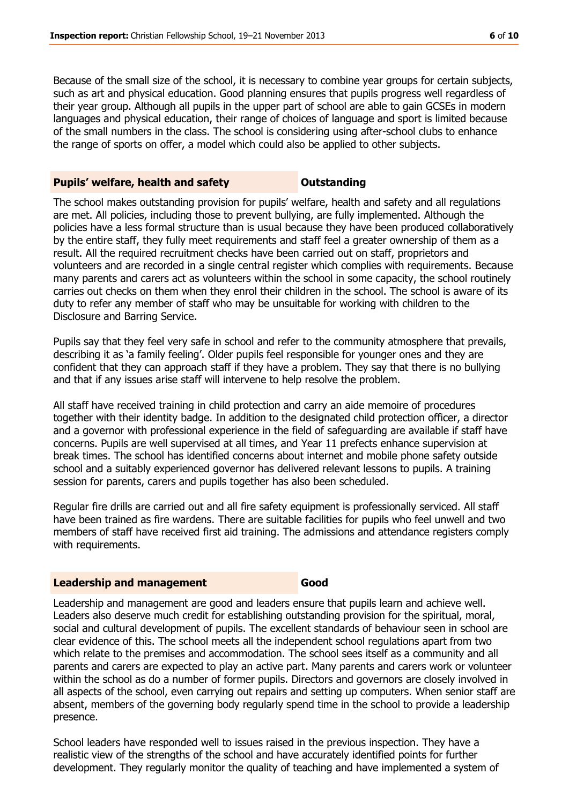Because of the small size of the school, it is necessary to combine year groups for certain subjects, such as art and physical education. Good planning ensures that pupils progress well regardless of their year group. Although all pupils in the upper part of school are able to gain GCSEs in modern languages and physical education, their range of choices of language and sport is limited because of the small numbers in the class. The school is considering using after-school clubs to enhance the range of sports on offer, a model which could also be applied to other subjects.

#### **Pupils' welfare, health and safety <b>COU** Dutstanding

The school makes outstanding provision for pupils' welfare, health and safety and all regulations are met. All policies, including those to prevent bullying, are fully implemented. Although the policies have a less formal structure than is usual because they have been produced collaboratively by the entire staff, they fully meet requirements and staff feel a greater ownership of them as a result. All the required recruitment checks have been carried out on staff, proprietors and volunteers and are recorded in a single central register which complies with requirements. Because many parents and carers act as volunteers within the school in some capacity, the school routinely carries out checks on them when they enrol their children in the school. The school is aware of its duty to refer any member of staff who may be unsuitable for working with children to the Disclosure and Barring Service.

Pupils say that they feel very safe in school and refer to the community atmosphere that prevails, describing it as 'a family feeling'. Older pupils feel responsible for younger ones and they are confident that they can approach staff if they have a problem. They say that there is no bullying and that if any issues arise staff will intervene to help resolve the problem.

All staff have received training in child protection and carry an aide memoire of procedures together with their identity badge. In addition to the designated child protection officer, a director and a governor with professional experience in the field of safeguarding are available if staff have concerns. Pupils are well supervised at all times, and Year 11 prefects enhance supervision at break times. The school has identified concerns about internet and mobile phone safety outside school and a suitably experienced governor has delivered relevant lessons to pupils. A training session for parents, carers and pupils together has also been scheduled.

Regular fire drills are carried out and all fire safety equipment is professionally serviced. All staff have been trained as fire wardens. There are suitable facilities for pupils who feel unwell and two members of staff have received first aid training. The admissions and attendance registers comply with requirements.

#### **Leadership and management Good**

Leadership and management are good and leaders ensure that pupils learn and achieve well. Leaders also deserve much credit for establishing outstanding provision for the spiritual, moral, social and cultural development of pupils. The excellent standards of behaviour seen in school are clear evidence of this. The school meets all the independent school regulations apart from two which relate to the premises and accommodation. The school sees itself as a community and all parents and carers are expected to play an active part. Many parents and carers work or volunteer within the school as do a number of former pupils. Directors and governors are closely involved in all aspects of the school, even carrying out repairs and setting up computers. When senior staff are absent, members of the governing body regularly spend time in the school to provide a leadership presence.

School leaders have responded well to issues raised in the previous inspection. They have a realistic view of the strengths of the school and have accurately identified points for further development. They regularly monitor the quality of teaching and have implemented a system of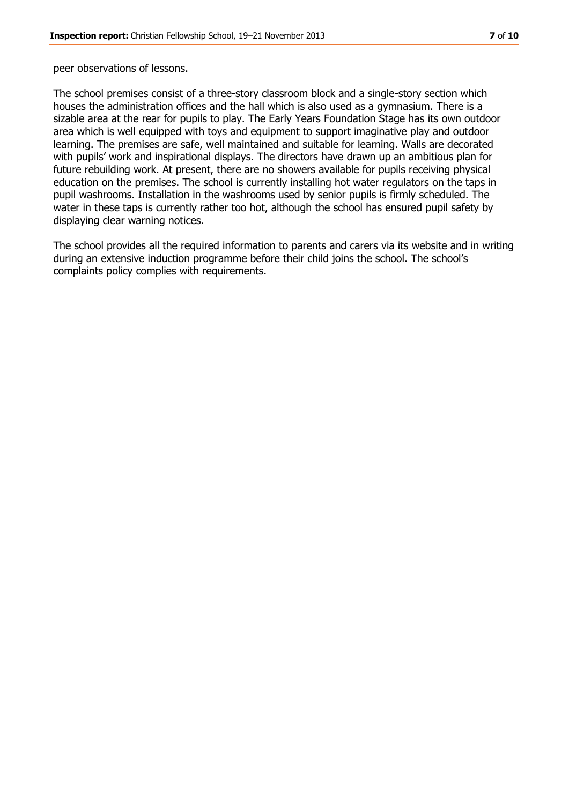peer observations of lessons.

The school premises consist of a three-story classroom block and a single-story section which houses the administration offices and the hall which is also used as a gymnasium. There is a sizable area at the rear for pupils to play. The Early Years Foundation Stage has its own outdoor area which is well equipped with toys and equipment to support imaginative play and outdoor learning. The premises are safe, well maintained and suitable for learning. Walls are decorated with pupils' work and inspirational displays. The directors have drawn up an ambitious plan for future rebuilding work. At present, there are no showers available for pupils receiving physical education on the premises. The school is currently installing hot water regulators on the taps in pupil washrooms. Installation in the washrooms used by senior pupils is firmly scheduled. The water in these taps is currently rather too hot, although the school has ensured pupil safety by displaying clear warning notices.

The school provides all the required information to parents and carers via its website and in writing during an extensive induction programme before their child joins the school. The school's complaints policy complies with requirements.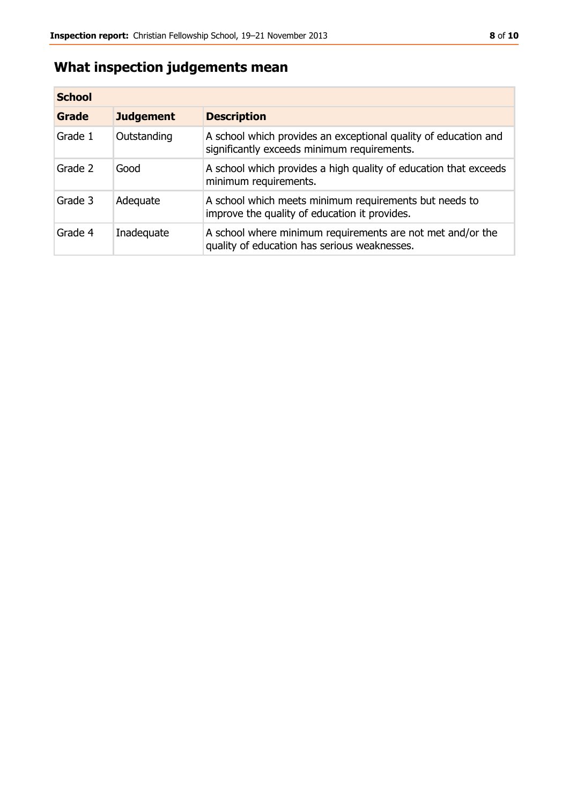# **What inspection judgements mean**

| <b>School</b> |                  |                                                                                                                |
|---------------|------------------|----------------------------------------------------------------------------------------------------------------|
| Grade         | <b>Judgement</b> | <b>Description</b>                                                                                             |
| Grade 1       | Outstanding      | A school which provides an exceptional quality of education and<br>significantly exceeds minimum requirements. |
| Grade 2       | Good             | A school which provides a high quality of education that exceeds<br>minimum requirements.                      |
| Grade 3       | Adequate         | A school which meets minimum requirements but needs to<br>improve the quality of education it provides.        |
| Grade 4       | Inadequate       | A school where minimum requirements are not met and/or the<br>quality of education has serious weaknesses.     |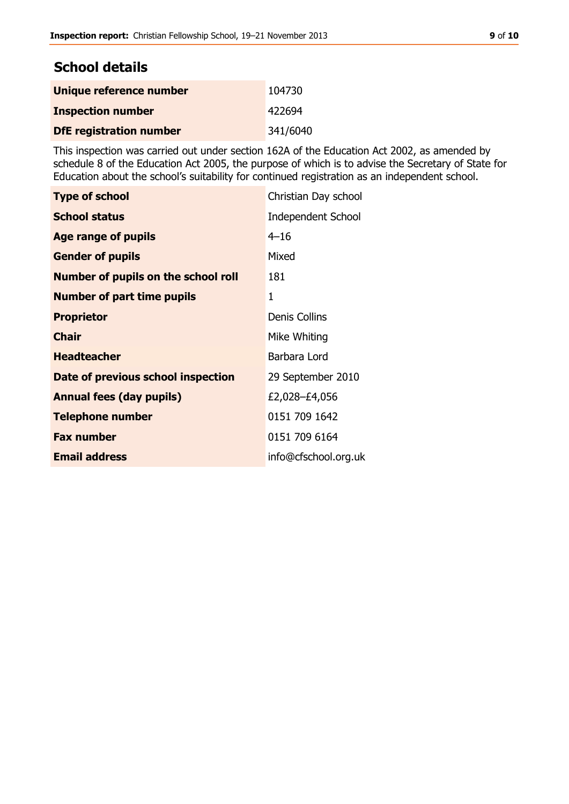## **School details**

| Unique reference number        | 104730   |
|--------------------------------|----------|
| <b>Inspection number</b>       | 422694   |
| <b>DfE registration number</b> | 341/6040 |

This inspection was carried out under section 162A of the Education Act 2002, as amended by schedule 8 of the Education Act 2005, the purpose of which is to advise the Secretary of State for Education about the school's suitability for continued registration as an independent school.

| <b>Type of school</b>                      | Christian Day school      |
|--------------------------------------------|---------------------------|
| <b>School status</b>                       | <b>Independent School</b> |
| Age range of pupils                        | $4 - 16$                  |
| <b>Gender of pupils</b>                    | Mixed                     |
| <b>Number of pupils on the school roll</b> | 181                       |
| <b>Number of part time pupils</b>          | 1                         |
| <b>Proprietor</b>                          | <b>Denis Collins</b>      |
| <b>Chair</b>                               | Mike Whiting              |
| <b>Headteacher</b>                         | Barbara Lord              |
| Date of previous school inspection         | 29 September 2010         |
| <b>Annual fees (day pupils)</b>            | £2,028-£4,056             |
| <b>Telephone number</b>                    | 0151 709 1642             |
| <b>Fax number</b>                          | 0151 709 6164             |
| <b>Email address</b>                       | info@cfschool.org.uk      |